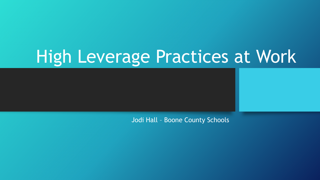# High Leverage Practices at Work

Jodi Hall – Boone County Schools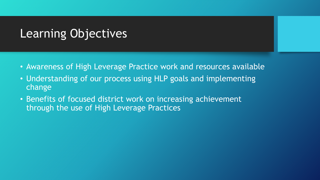# Learning Objectives

- Awareness of High Leverage Practice work and resources available
- Understanding of our process using HLP goals and implementing change
- Benefits of focused district work on increasing achievement through the use of High Leverage Practices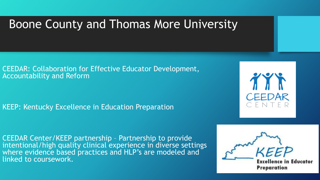# Boone County and Thomas More University

CEEDAR: Collaboration for Effective Educator Development, Accountability and Reform

KEEP: Kentucky Excellence in Education Preparation

TYT **CEEDAR** 

CEEDAR Center/KEEP partnership – Partnership to provide intentional/high quality clinical experience in diverse settings where evidence based practices and HLP's are modeled and linked to coursework.

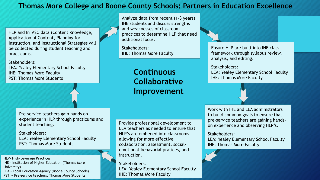#### **Thomas More College and Boone County Schools: Partners in Education Excellence**

HLP and InTASC data (Content Knowledge, Application of Content, Planning for Instruction, and Instructional Strategies will be collected during student teaching and practicums.

Stakeholders: LEA: Yealey Elementary School Faculty IHE: Thomas More Faculty PST: Thomas More Students

Analyze data from recent (1-3 years) IHE students and discuss strengths and weaknesses of classroom practices to determine HLP that need additional focus.

Stakeholders: IHE: Thomas More Faculty

> **Continuous Collaborative Improvement**

Pre-service teachers gain hands on experience in HLP through practicums and student teaching.

Stakeholders: LEA: Yealey Elementary School Faculty PST: Thomas More Students

HLP- High-Leverage Practices

- IHE Institution of Higher Education (Thomas More University)
- LEA Local Education Agency (Boone County Schools)
- PST -- Pre-service teachers, Thomas More Students

Provide professional development to LEA teachers as needed to ensure that HLP's are embeded into classrooms allowing for more effective collaboration, assessment, socialemotional-behavorial pratices, and instruction.

Stakeholders: LEA: Yealey Elementary School Faculty IHE: Thomas More Faculty

Ensure HLP are built into IHE class framework through syllabus review, analysis, and editing.

#### Stakeholders:

LEA: Yealey Elementary School Faculty IHE: Thomas More Faculty



Work with IHE and LEA administrators to build common goals to ensure that pre-service teachers are gaining handson experience and observing HLP's.

#### Stakeholders:

LEA: Yealey Elementary School Faculty IHE: Thomas More Faculty

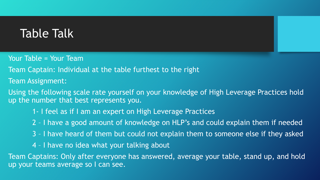## Table Talk

Your Table = Your Team

Team Captain: Individual at the table furthest to the right

Team Assignment:

Using the following scale rate yourself on your knowledge of High Leverage Practices hold up the number that best represents you.

1- I feel as if I am an expert on High Leverage Practices

- 2 I have a good amount of knowledge on HLP's and could explain them if needed
- 3 I have heard of them but could not explain them to someone else if they asked
- 4 I have no idea what your talking about

Team Captains: Only after everyone has answered, average your table, stand up, and hold up your teams average so I can see.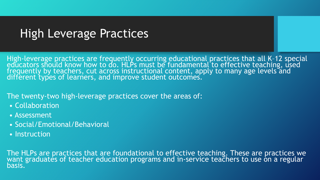# High Leverage Practices

High-leverage practices are frequently occurring educational practices that all K–12 special educators should know how to do. HLPs must be fundamental to effective teaching, used freguently by teachers, cut across instructional content, apply to many age levels and different types of learners, and improve student outcomes.

#### The twenty-two high-leverage practices cover the areas of:

- Collaboration
- Assessment
- Social/Emotional/Behavioral
- Instruction

The HLPs are practices that are foundational to effective teaching. These are practices we want graduates of teacher education programs and in-service teachers to use on a regular basis.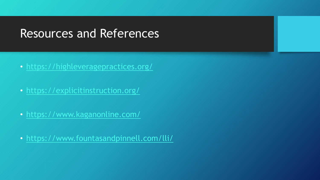### Resources and References

- <https://highleveragepractices.org/>
- <https://explicitinstruction.org/>
- <https://www.kaganonline.com/>
- <https://www.fountasandpinnell.com/lli/>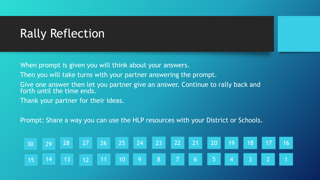# Rally Reflection

When prompt is given you will think about your answers.

Then you will take turns with your partner answering the prompt.

Give one answer then let you partner give an answer. Continue to rally back and forth until the time ends.

Thank your partner for their ideas.

Prompt: Share a way you can use the HLP resources with your District or Schools.

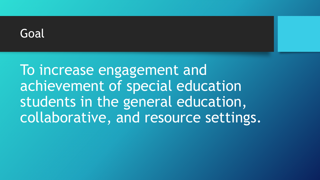

To increase engagement and achievement of special education students in the general education, collaborative, and resource settings.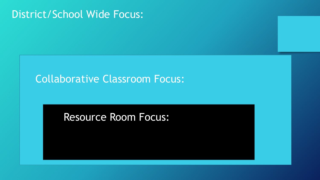### District/School Wide Focus:

### Collaborative Classroom Focus:

### Resource Room Focus: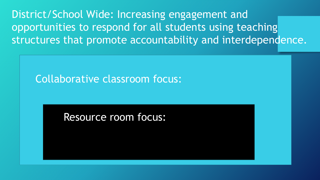District/School Wide: Increasing engagement and opportunities to respond for all students using teaching structures that promote accountability and interdependence.

Collaborative classroom focus:

Resource room focus: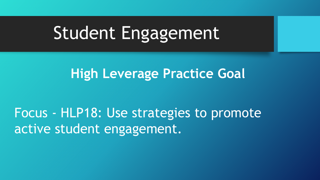# Student Engagement

# **High Leverage Practice Goal**

Focus - HLP18: Use strategies to promote active student engagement.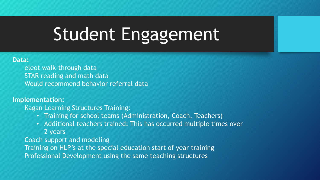# Student Engagement

#### **Data:**

eleot walk-through data STAR reading and math data Would recommend behavior referral data

#### **Implementation:**

Kagan Learning Structures Training:

- Training for school teams (Administration, Coach, Teachers)
- Additional teachers trained: This has occurred multiple times over 2 years

Coach support and modeling

Training on HLP's at the special education start of year training Professional Development using the same teaching structures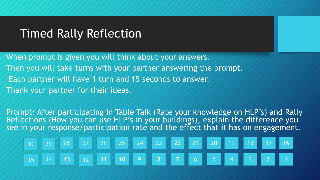### Timed Rally Reflection

When prompt is given you will think about your answers. Then you will take turns with your partner answering the prompt. Each partner will have 1 turn and 15 seconds to answer. Thank your partner for their ideas.

Prompt: After participating in Table Talk (Rate your knowledge on HLP's) and Rally Reflections (How you can use HLP's in your buildings), explain the difference you see in your response/participation rate and the effect that it has on engagement.

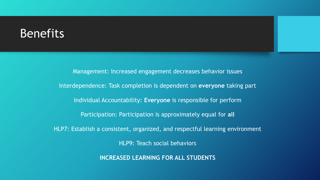### **Benefits**

Management: Increased engagement decreases behavior issues Interdependence: Task completion is dependent on **everyone** taking part Individual Accountability: **Everyone** is responsible for perform Participation: Participation is approximately equal for **all** HLP7: Establish a consistent, organized, and respectful learning environment HLP9: Teach social behaviors **INCREASED LEARNING FOR ALL STUDENTS**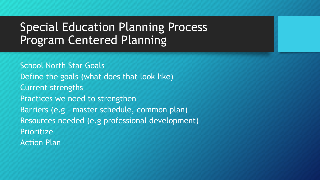# Special Education Planning Process Program Centered Planning

School North Star Goals Define the goals (what does that look like) Current strengths Practices we need to strengthen Barriers (e.g – master schedule, common plan) Resources needed (e.g professional development) Prioritize Action Plan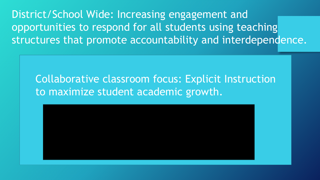District/School Wide: Increasing engagement and opportunities to respond for all students using teaching structures that promote accountability and interdependence.

### Collaborative classroom focus: Explicit Instruction to maximize student academic growth.

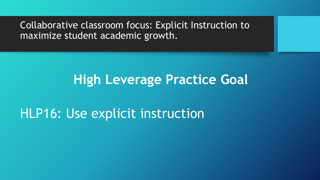Collaborative classroom focus: Explicit Instruction to maximize student academic growth.

# **High Leverage Practice Goal**

# HLP16: Use explicit instruction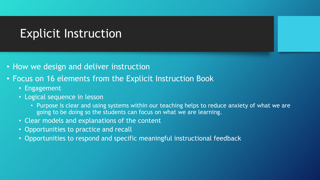## Explicit Instruction

- How we design and deliver instruction
- Focus on 16 elements from the Explicit Instruction Book
	- Engagement
	- Logical sequence in lesson
		- Purpose is clear and using systems within our teaching helps to reduce anxiety of what we are going to be doing so the students can focus on what we are learning.
	- Clear models and explanations of the content
	- Opportunities to practice and recall
	- Opportunities to respond and specific meaningful instructional feedback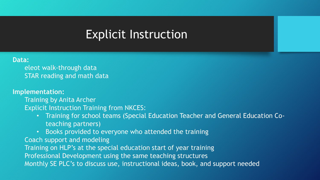### Explicit Instruction

#### **Data:**

eleot walk-through data STAR reading and math data

#### **Implementation:**

Training by Anita Archer

- Explicit Instruction Training from NKCES:
	- Training for school teams (Special Education Teacher and General Education Coteaching partners)
	- Books provided to everyone who attended the training

Coach support and modeling

Training on HLP's at the special education start of year training

Professional Development using the same teaching structures

Monthly SE PLC's to discuss use, instructional ideas, book, and support needed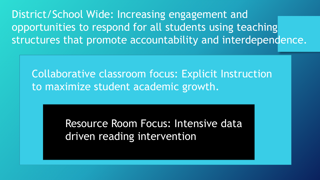District/School Wide: Increasing engagement and opportunities to respond for all students using teaching structures that promote accountability and interdependence.

Collaborative classroom focus: Explicit Instruction to maximize student academic growth.

> Resource Room Focus: Intensive data driven reading intervention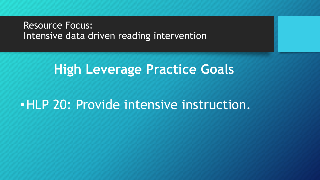#### Resource Focus: Intensive data driven reading intervention

# **High Leverage Practice Goals**

# •HLP 20: Provide intensive instruction.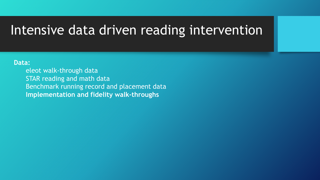#### **Data:**

eleot walk-through data STAR reading and math data Benchmark running record and placement data **Implementation and fidelity walk-throughs**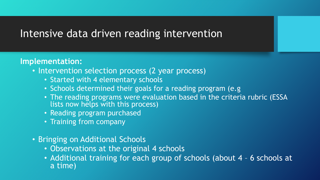#### **Implementation:**

- Intervention selection process (2 year process)
	- Started with 4 elementary schools
	- Schools determined their goals for a reading program (e.g
	- The reading programs were evaluation based in the criteria rubric (ESSA lists now helps with this process)
	- Reading program purchased
	- Training from company
- Bringing on Additional Schools
	- Observations at the original 4 schools
	- Additional training for each group of schools (about 4 6 schools at a time)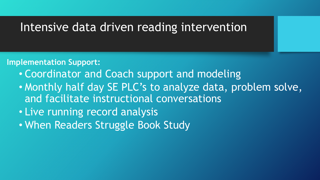#### **Implementation Support:**

- Coordinator and Coach support and modeling
- Monthly half day SE PLC's to analyze data, problem solve, and facilitate instructional conversations
- Live running record analysis
- When Readers Struggle Book Study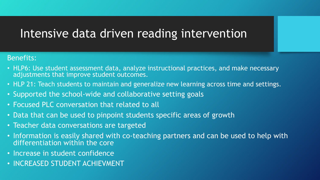#### Benefits:

- HLP6: Use student assessment data, analyze instructional practices, and make necessary adjustments that improve student outcomes.
- HLP 21: Teach students to maintain and generalize new learning across time and settings.
- Supported the school-wide and collaborative setting goals
- Focused PLC conversation that related to all
- Data that can be used to pinpoint students specific areas of growth
- Teacher data conversations are targeted
- Information is easily shared with co-teaching partners and can be used to help with differentiation within the core
- Increase in student confidence
- INCREASED STUDENT ACHIEVMENT